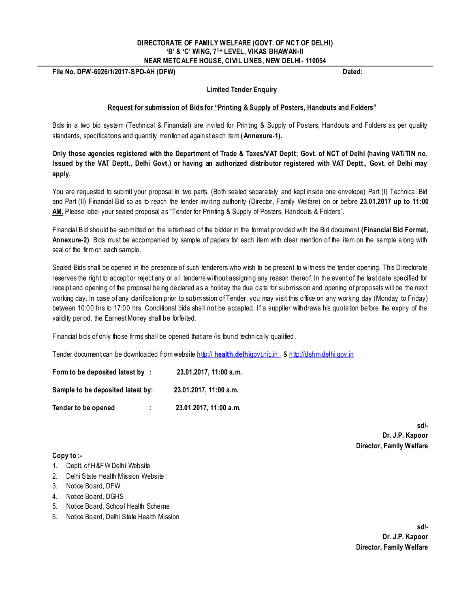#### **DIRECTORATE OF FAMILY WELFARE (GOVT. OF NCT OF DELHI) "B" & "C" WING, 7TH LEVEL, VIKAS BHAWAN-II NEAR METCALFE HOUSE, CIVIL LINES, NEW DELHI- 110054**

**File No. DFW-6026/1/2017-SPO-AH (DFW) Dated:** 

#### **Limited Tender Enquiry**

#### **Request for submission of Bids for "Printing & Supply of Posters, Handouts and Folders"**

Bids in a two bid system (Technical & Financial) are invited for Printing & Supply of Posters, Handouts and Folders as per quality standards, specifications and quantity mentioned against each item (Annexure-1).

**Only those agencies registered with the Department of Trade & Taxes/VAT Deptt; Govt. of NCT of Delhi (having VAT/TIN no. Issued by the VAT Deptt., Delhi Govt.) or having an authorized distributor registered with VAT Deptt., Govt. of Delhi may apply.** 

You are requested to submit your proposal in two parts, (Both sealed separately and kept inside one envelope) Part (I) Technical Bid and Part (II) Financial Bid so as to reach the tender inviting authority (Director, Family Welfare) on or before **23.01.2017 up to 11:00 AM.** Please label your sealed proposal as "Tender for Printing & Supply of Posters, Handouts & Folders".

Financial Bid should be submitted on the letterhead of the bidder in the format provided with the Bid document **(Financial Bid Format, Annexure-2)**. Bids must be accompanied by sample of papers for each item with clear mention of the item on the sample along with seal of the firm on each sample.

Sealed Bids shall be opened in the presence of such tenderers who wish to be present to witness the tender opening. This Directorate reserves the right to accept or reject any or all tender/s without assigning any reason thereof. In the event of the last date specified for receipt and opening of the proposal being declared as a holiday the due date for submission and opening of proposals will be the nex t working day. In case of any clarification prior to submission of Tender, you may visit this office on any working day (Monday to Friday) between 10:00 hrs to 17:00 hrs. Conditional bids shall not be accepted. If a supplier withdraws his quotation before the expiry of the validity period, the Earnest Money shall be forfeited.

Financial bids of only those firms shall be opened that are /is found technically qualified.

Tender document can be downloaded from website http:// **health**.**delhi**govt.nic.in & [http://dshm.delhi.gov.in](http://dshm.delhi.gov.in/)

| Form to be deposited latest by:   |    | 23.01.2017, 11:00 a.m. |
|-----------------------------------|----|------------------------|
| Sample to be deposited latest by: |    | 23.01.2017. 11:00 a.m. |
| Tender to be opened               | ÷. | 23.01.2017, 11:00 a.m. |

**sd/- Dr. J.P. Kapoor Director, Family Welfare**

#### **Copy to :-**

- 1. Deptt. of H&FW Delhi Website
- 2. Delhi State Health Mission Website
- 3. Notice Board, DFW
- 4. Notice Board, DGHS
- 5. Notice Board, School Health Scheme
- 6. Notice Board, Delhi State Health Mission

**sd/- Dr. J.P. Kapoor Director, Family Welfare**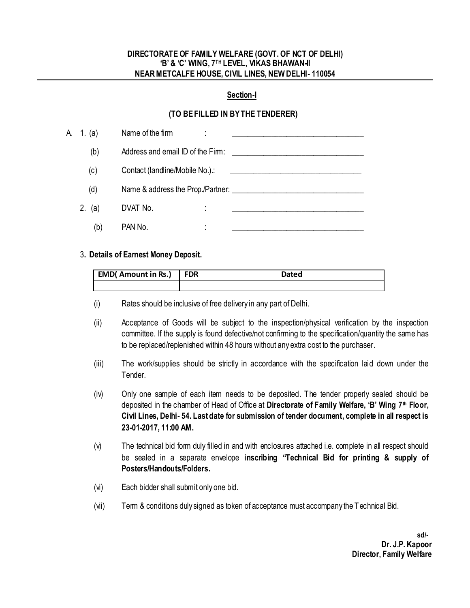#### **DIRECTORATE OF FAMILY WELFARE (GOVT. OF NCT OF DELHI) "B" & "C" WING, 7TH LEVEL, VIKAS BHAWAN-II NEAR METCALFE HOUSE, CIVIL LINES, NEW DELHI- 110054**

#### **Section-I**

## **(TO BE FILLED IN BY THE TENDERER)**

| A 1. (a) | Name of the firm                  |
|----------|-----------------------------------|
| (b)      | Address and email ID of the Firm: |
| (c)      | Contact (landline/Mobile No.).:   |
| (d)      |                                   |
| 2. (a)   | DVAT No.                          |
| (b)      | PAN No.<br>٠<br>٠                 |

#### 3**. Details of Earnest Money Deposit.**

| <b>EMD( Amount in Rs.)</b> | FDR | <b>Dated</b> |  |  |  |
|----------------------------|-----|--------------|--|--|--|
|                            |     |              |  |  |  |

- (i) Rates should be inclusive of free delivery in any part of Delhi.
- (ii) Acceptance of Goods will be subject to the inspection/physical verification by the inspection committee. If the supply is found defective/not confirming to the specification/quantity the same has to be replaced/replenished within 48 hours without any extra cost to the purchaser.
- (iii) The work/supplies should be strictly in accordance with the specification laid down under the Tender.
- (iv) Only one sample of each item needs to be deposited. The tender properly sealed should be deposited in the chamber of Head of Office at **Directorate of Family Welfare, "B" Wing 7th Floor, Civil Lines, Delhi- 54. Last date for submission of tender document, complete in all respect is 23-01-2017, 11:00 AM.**
- (v) The technical bid form duly filled in and with enclosures attached i.e. complete in all respect should be sealed in a separate envelope **inscribing "Technical Bid for printing & supply of Posters/Handouts/Folders.**
- (vi) Each bidder shall submit only one bid.
- (vii) Term & conditions duly signed as token of acceptance must accompany the Technical Bid.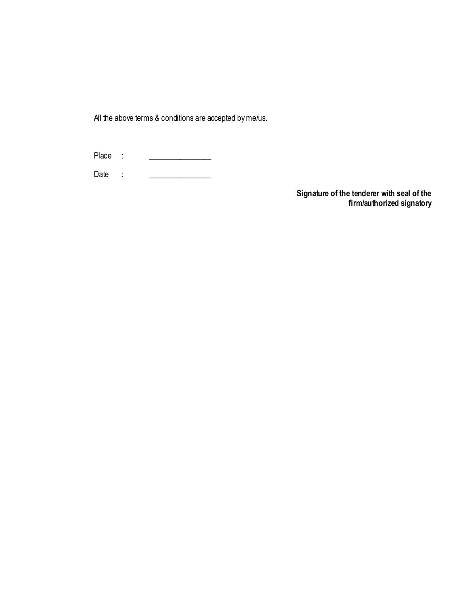All the above terms & conditions are accepted byme/us.

Place : \_\_\_\_\_\_\_\_\_\_\_\_\_\_\_\_

Date : \_\_\_\_\_\_\_\_\_\_\_\_\_\_\_\_

**Signature of the tenderer with seal of the firm/authorized signatory**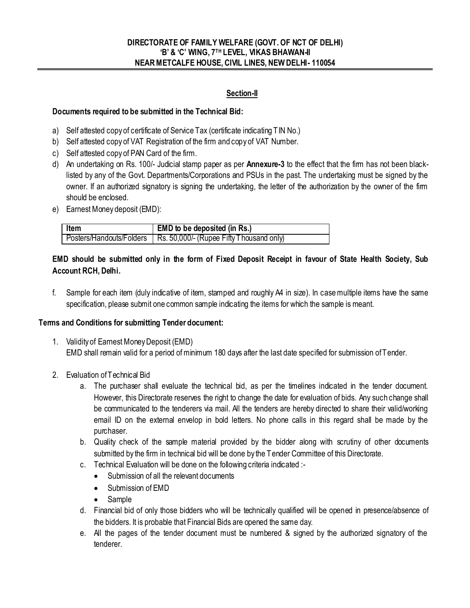### **DIRECTORATE OF FAMILY WELFARE (GOVT. OF NCT OF DELHI) "B" & "C" WING, 7TH LEVEL, VIKAS BHAWAN-II NEAR METCALFE HOUSE, CIVIL LINES, NEW DELHI- 110054**

## **Section-II**

### **Documents required to be submitted in the Technical Bid:**

- a) Self attested copy of certificate of Service Tax (certificate indicating TIN No.)
- b) Self attested copy of VAT Registration of the firm and copy of VAT Number.
- c) Self attested copy of PAN Card of the firm.
- d) An undertaking on Rs. 100/- Judicial stamp paper as per **Annexure-3** to the effect that the firm has not been blacklisted by any of the Govt. Departments/Corporations and PSUs in the past. The undertaking must be signed by the owner. If an authorized signatory is signing the undertaking, the letter of the authorization by the owner of the firm should be enclosed.
- e) Earnest Money deposit (EMD):

| Item | EMD to be deposited (in Rs.)                                        |
|------|---------------------------------------------------------------------|
|      | Posters/Handouts/Folders   Rs. 50,000/- (Rupee Fifty Thousand only) |

## **EMD should be submitted only in the form of Fixed Deposit Receipt in favour of State Health Society, Sub Account RCH, Delhi.**

f. Sample for each item (duly indicative of item, stamped and roughly A4 in size). In case multiple items have the same specification, please submit one common sample indicating the items for which the sample is meant.

### **Terms and Conditions for submitting Tender document:**

- 1. Validity of Earnest Money Deposit (EMD) EMD shall remain valid for a period of minimum 180 days after the last date specified for submission of Tender.
- 2. Evaluation of Technical Bid
	- a. The purchaser shall evaluate the technical bid, as per the timelines indicated in the tender document. However, this Directorate reserves the right to change the date for evaluation of bids. Any such change shall be communicated to the tenderers via mail. All the tenders are hereby directed to share their valid/working email ID on the external envelop in bold letters. No phone calls in this regard shall be made by the purchaser.
	- b. Quality check of the sample material provided by the bidder along with scrutiny of other documents submitted by the firm in technical bid will be done by the Tender Committee of this Directorate.
	- c. Technical Evaluation will be done on the following criteria indicated :-
		- Submission of all the relevant documents
		- Submission of EMD
		- Sample
	- d. Financial bid of only those bidders who will be technically qualified will be opened in presence/absence of the bidders. It is probable that Financial Bids are opened the same day.
	- e. All the pages of the tender document must be numbered & signed by the authorized signatory of the tenderer.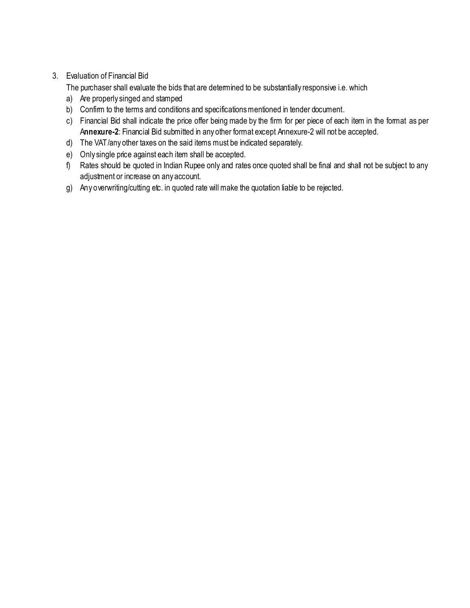# 3. Evaluation of Financial Bid

The purchaser shall evaluate the bids that are determined to be substantially responsive i.e. which

- a) Are properly singed and stamped
- b) Confirm to the terms and conditions and specifications mentioned in tender document.
- c) Financial Bid shall indicate the price offer being made by the firm for per piece of each item in the format as per A**nnexure-2**: Financial Bid submitted in any other format except Annexure-2 will not be accepted.
- d) The VAT/any other taxes on the said items must be indicated separately.
- e) Only single price against each item shall be accepted.
- f) Rates should be quoted in Indian Rupee only and rates once quoted shall be final and shall not be subject to any adjustment or increase on any account.
- g) Any overwriting/cutting etc. in quoted rate will make the quotation liable to be rejected.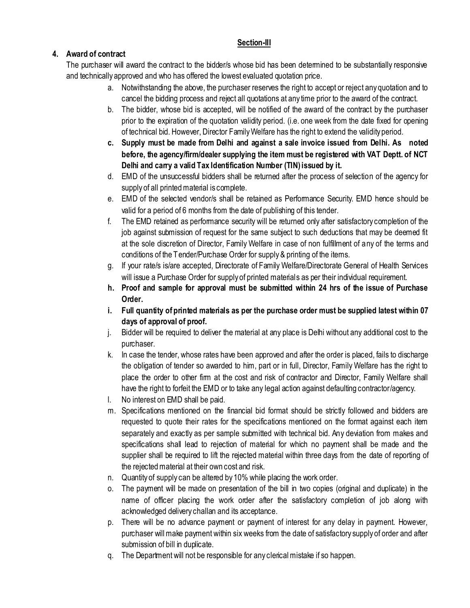# **Section-III**

# **4. Award of contract**

The purchaser will award the contract to the bidder/s whose bid has been determined to be substantially responsive and technically approved and who has offered the lowest evaluated quotation price.

- a. Notwithstanding the above, the purchaser reserves the right to accept or reject any quotation and to cancel the bidding process and reject all quotations at any time prior to the award of the contract.
- b. The bidder, whose bid is accepted, will be notified of the award of the contract by the purchaser prior to the expiration of the quotation validity period. (i.e. one week from the date fixed for opening of technical bid. However, Director Family Welfare has the right to extend the validity period.
- **c. Supply must be made from Delhi and against a sale invoice issued from Delhi. As noted before, the agency/firm/dealer supplying the item must be registered with VAT Deptt. of NCT Delhi and carry a valid Tax Identification Number (TIN) issued by it.**
- d. EMD of the unsuccessful bidders shall be returned after the process of selection of the agency for supply of all printed material is complete.
- e. EMD of the selected vendor/s shall be retained as Performance Security. EMD hence should be valid for a period of 6 months from the date of publishing of this tender.
- f. The EMD retained as performance security will be returned only after satisfactory completion of the job against submission of request for the same subject to such deductions that may be deemed fit at the sole discretion of Director, Family Welfare in case of non fulfillment of any of the terms and conditions of the Tender/Purchase Order for supply & printing of the items.
- g. If your rate/s is/are accepted, Directorate of Family Welfare/Directorate General of Health Services will issue a Purchase Order for supply of printed materials as per their individual requirement.
- **h. Proof and sample for approval must be submitted within 24 hrs of the issue of Purchase Order.**
- **i. Full quantity of printed materials as per the purchase order must be supplied latest within 07 days of approval of proof.**
- j. Bidder will be required to deliver the material at any place is Delhi without any additional cost to the purchaser.
- k. In case the tender, whose rates have been approved and after the order is placed, fails to discharge the obligation of tender so awarded to him, part or in full, Director, Family Welfare has the right to place the order to other firm at the cost and risk of contractor and Director, Family Welfare shall have the right to forfeit the EMD or to take any legal action against defaulting contractor/agency.
- l. No interest on EMD shall be paid.
- m. Specifications mentioned on the financial bid format should be strictly followed and bidders are requested to quote their rates for the specifications mentioned on the format against each item separately and exactly as per sample submitted with technical bid. Any deviation from makes and specifications shall lead to rejection of material for which no payment shall be made and the supplier shall be required to lift the rejected material within three days from the date of reporting of the rejected material at their own cost and risk.
- n. Quantity of supply can be altered by 10% while placing the work order.
- o. The payment will be made on presentation of the bill in two copies (original and duplicate) in the name of officer placing the work order after the satisfactory completion of job along with acknowledged delivery challan and its acceptance.
- p. There will be no advance payment or payment of interest for any delay in payment. However, purchaser will make payment within six weeks from the date of satisfactory supply of order and after submission of bill in duplicate.
- q. The Department will not be responsible for any clerical mistake if so happen.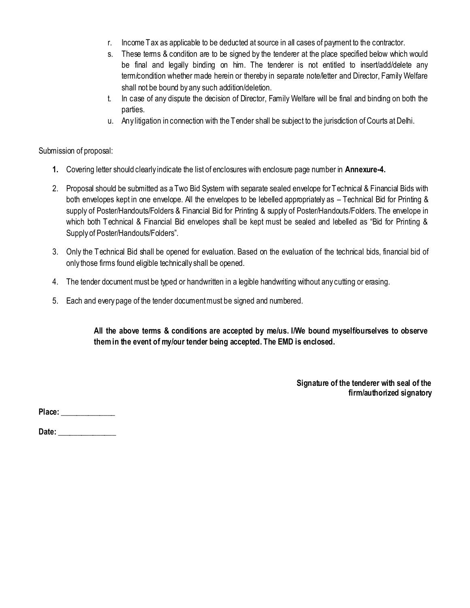- r. Income Tax as applicable to be deducted at source in all cases of payment to the contractor.
- s. These terms & condition are to be signed by the tenderer at the place specified below which would be final and legally binding on him. The tenderer is not entitled to insert/add/delete any term/condition whether made herein or thereby in separate note/letter and Director, Family Welfare shall not be bound by any such addition/deletion.
- t. In case of any dispute the decision of Director, Family Welfare will be final and binding on both the parties.
- u. Any litigation in connection with the Tender shall be subject to the jurisdiction of Courts at Delhi.

## Submission of proposal:

- **1.** Covering letter should clearly indicate the list of enclosures with enclosure page number in **Annexure-4.**
- 2. Proposal should be submitted as a Two Bid System with separate sealed envelope for Technical & Financial Bids with both envelopes kept in one envelope. All the envelopes to be lebelled appropriately as – Technical Bid for Printing & supply of Poster/Handouts/Folders & Financial Bid for Printing & supply of Poster/Handouts/Folders. The envelope in which both Technical & Financial Bid envelopes shall be kept must be sealed and lebelled as "Bid for Printing & Supply of Poster/Handouts/Folders".
- 3. Only the Technical Bid shall be opened for evaluation. Based on the evaluation of the technical bids, financial bid of only those firms found eligible technically shall be opened.
- 4. The tender document must be typed or handwritten in a legible handwriting without any cutting or erasing.
- 5. Each and every page of the tender document must be signed and numbered.

**All the above terms & conditions are accepted by me/us. I/We bound myself/ourselves to observe them in the event of my/our tender being accepted. The EMD is enclosed.** 

> **Signature of the tenderer with seal of the firm/authorized signatory**

**Place: \_\_\_\_\_\_\_\_\_\_\_\_\_\_**

**Date: \_\_\_\_\_\_\_\_\_\_\_\_\_\_\_**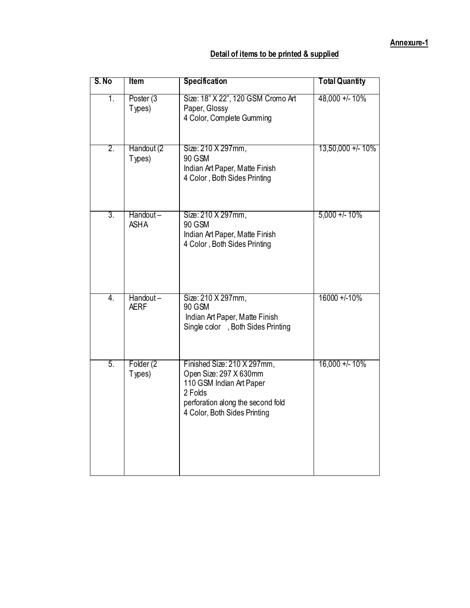# **Detail of items to be printed & supplied**

| S. No            | Item                    | <b>Specification</b>                                                                                                                                              | <b>Total Quantity</b> |
|------------------|-------------------------|-------------------------------------------------------------------------------------------------------------------------------------------------------------------|-----------------------|
| 1.               | Poster (3<br>Types)     | Size: 18" X 22", 120 GSM Cromo Art<br>Paper, Glossy<br>4 Color, Complete Gumming                                                                                  | 48,000 +/- 10%        |
| 2.               | Handout (2<br>Types)    | Size: 210 X 297mm,<br><b>90 GSM</b><br>Indian Art Paper, Matte Finish<br>4 Color, Both Sides Printing                                                             | 13,50,000 +/- 10%     |
| 3.               | Handout-<br><b>ASHA</b> | Size: 210 X 297mm,<br>90 GSM<br>Indian Art Paper, Matte Finish<br>4 Color, Both Sides Printing                                                                    | $5,000 + 1.10\%$      |
| $\overline{4}$ . | Handout-<br><b>AERF</b> | Size: 210 X 297mm,<br><b>90 GSM</b><br>Indian Art Paper, Matte Finish<br>Single color , Both Sides Printing                                                       | 16000 +/-10%          |
| $\overline{5}$ . | Folder (2<br>Types)     | Finished Size: 210 X 297mm,<br>Open Size: 297 X 630mm<br>110 GSM Indian Art Paper<br>2 Folds<br>perforation along the second fold<br>4 Color, Both Sides Printing | $16,000 + 10%$        |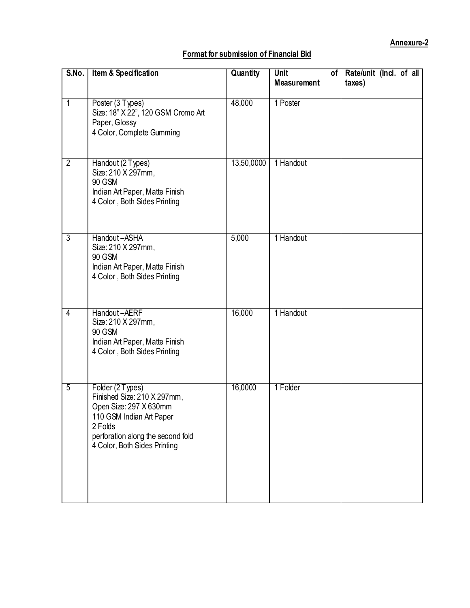## **Format for submission of Financial Bid**

| S.No.          | <b>Item &amp; Specification</b>                                                                                                                                                       | Quantity   | <b>Unit</b><br>of <sub>l</sub><br><b>Measurement</b> | Rate/unit (Incl. of all<br>taxes) |
|----------------|---------------------------------------------------------------------------------------------------------------------------------------------------------------------------------------|------------|------------------------------------------------------|-----------------------------------|
| $\overline{1}$ | Poster (3 Types)<br>Size: 18" X 22", 120 GSM Cromo Art<br>Paper, Glossy<br>4 Color, Complete Gumming                                                                                  | 48,000     | 1 Poster                                             |                                   |
| $\overline{2}$ | Handout (2 Types)<br>Size: 210 X 297mm,<br>90 GSM<br>Indian Art Paper, Matte Finish<br>4 Color, Both Sides Printing                                                                   | 13,50,0000 | 1 Handout                                            |                                   |
| 3              | Handout-ASHA<br>Size: 210 X 297mm,<br>90 GSM<br>Indian Art Paper, Matte Finish<br>4 Color, Both Sides Printing                                                                        | 5,000      | 1 Handout                                            |                                   |
| $\overline{4}$ | Handout-AERF<br>Size: 210 X 297mm,<br>90 GSM<br>Indian Art Paper, Matte Finish<br>4 Color, Both Sides Printing                                                                        | 16,000     | 1 Handout                                            |                                   |
| $\overline{5}$ | Folder (2 Types)<br>Finished Size: 210 X 297mm,<br>Open Size: 297 X 630mm<br>110 GSM Indian Art Paper<br>2 Folds<br>perforation along the second fold<br>4 Color, Both Sides Printing | 16,0000    | 1 Folder                                             |                                   |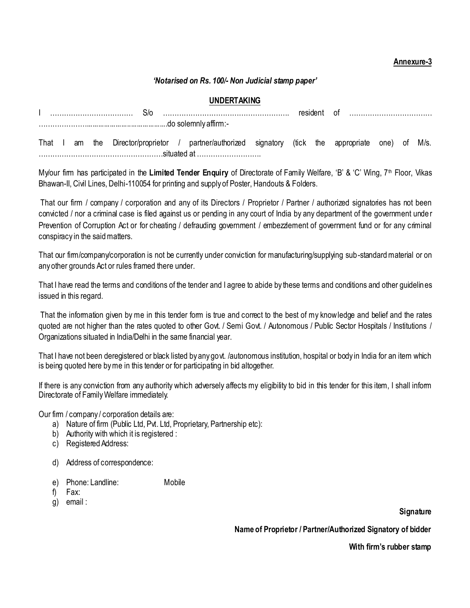## **Annexure-3**

#### *'Notarised on Rs. 100/- Non Judicial stamp paper'*

#### **UNDERTAKING**

|  |  | That I am the Director/proprietor / partner/authorized signatory (tick the appropriate one) of M/s. |  |  |  |  |  |
|--|--|-----------------------------------------------------------------------------------------------------|--|--|--|--|--|
|  |  |                                                                                                     |  |  |  |  |  |

My/our firm has participated in the Limited Tender Enquiry of Directorate of Family Welfare, 'B' & 'C' Wing, 7<sup>th</sup> Floor, Vikas Bhawan-II, Civil Lines, Delhi-110054 for printing and supply of Poster, Handouts & Folders.

That our firm / company / corporation and any of its Directors / Proprietor / Partner / authorized signatories has not been convicted / nor a criminal case is filed against us or pending in any court of India by any department of the government unde r Prevention of Corruption Act or for cheating / defrauding government / embezzlement of government fund or for any criminal conspiracy in the said matters.

That our firm/company/corporation is not be currently under conviction for manufacturing/supplying sub-standard material or on any other grounds Act or rules framed there under.

That I have read the terms and conditions of the tender and I agree to abide by these terms and conditions and other guidelines issued in this regard.

That the information given by me in this tender form is true and correct to the best of my knowledge and belief and the rates quoted are not higher than the rates quoted to other Govt. / Semi Govt. / Autonomous / Public Sector Hospitals / Institutions / Organizations situated in India/Delhi in the same financial year.

That I have not been deregistered or black listed by any govt. /autonomous institution, hospital or body in India for an item which is being quoted here by me in this tender or for participating in bid altogether.

If there is any conviction from any authority which adversely affects my eligibility to bid in this tender for this item, I shall inform Directorate of Family Welfare immediately.

Our firm / company / corporation details are:

- a) Nature of firm (Public Ltd, Pvt. Ltd, Proprietary, Partnership etc):
- b) Authority with which it is registered :
- c) Registered Address:
- d) Address of correspondence:
- e) Phone: Landline: Mobile
- f) Fax:
- g) email :

**Signature** 

**Name of Proprietor / Partner/Authorized Signatory of bidder** 

**With firm"s rubber stamp**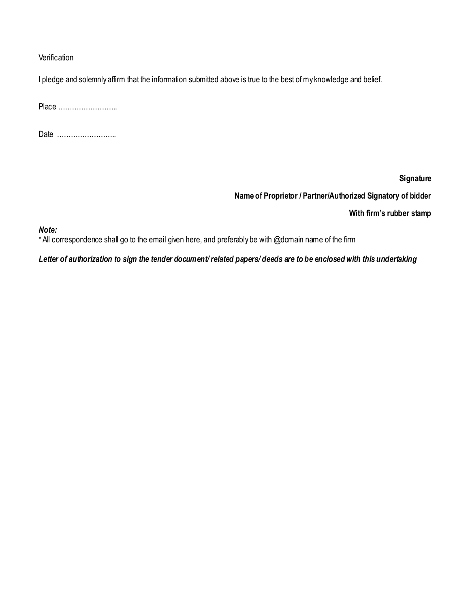### **Verification**

I pledge and solemnly affirm that the information submitted above is true to the best of my knowledge and belief.

Place ……………………..

Date ……………………..

**Signature** 

**Name of Proprietor / Partner/Authorized Signatory of bidder** 

**With firm"s rubber stamp** 

*Note:* 

\* All correspondence shall go to the email given here, and preferably be with @domain name of the firm

*Letter of authorization to sign the tender document/ related papers/ deeds are to be enclosed with this undertaking*